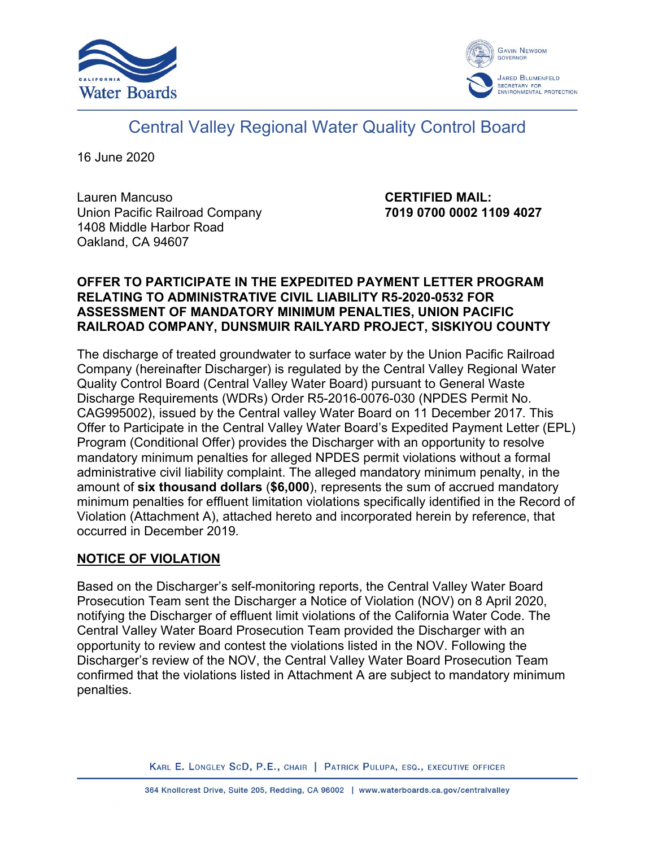



# Central Valley Regional Water Quality Control Board

16 June 2020

Lauren Mancuso Union Pacific Railroad Company 1408 Middle Harbor Road Oakland, CA 94607

**CERTIFIED MAIL: 7019 0700 0002 1109 4027**

## **OFFER TO PARTICIPATE IN THE EXPEDITED PAYMENT LETTER PROGRAM RELATING TO ADMINISTRATIVE CIVIL LIABILITY R5-2020-0532 FOR ASSESSMENT OF MANDATORY MINIMUM PENALTIES, UNION PACIFIC RAILROAD COMPANY, DUNSMUIR RAILYARD PROJECT, SISKIYOU COUNTY**

The discharge of treated groundwater to surface water by the Union Pacific Railroad Company (hereinafter Discharger) is regulated by the Central Valley Regional Water Quality Control Board (Central Valley Water Board) pursuant to General Waste Discharge Requirements (WDRs) Order R5-2016-0076-030 (NPDES Permit No. CAG995002), issued by the Central valley Water Board on 11 December 2017. This Offer to Participate in the Central Valley Water Board's Expedited Payment Letter (EPL) Program (Conditional Offer) provides the Discharger with an opportunity to resolve mandatory minimum penalties for alleged NPDES permit violations without a formal administrative civil liability complaint. The alleged mandatory minimum penalty, in the amount of **six thousand dollars** (**\$6,000**), represents the sum of accrued mandatory minimum penalties for effluent limitation violations specifically identified in the Record of Violation (Attachment A), attached hereto and incorporated herein by reference, that occurred in December 2019.

# **NOTICE OF VIOLATION**

Based on the Discharger's self-monitoring reports, the Central Valley Water Board Prosecution Team sent the Discharger a Notice of Violation (NOV) on 8 April 2020, notifying the Discharger of effluent limit violations of the California Water Code. The Central Valley Water Board Prosecution Team provided the Discharger with an opportunity to review and contest the violations listed in the NOV. Following the Discharger's review of the NOV, the Central Valley Water Board Prosecution Team confirmed that the violations listed in Attachment A are subject to mandatory minimum penalties.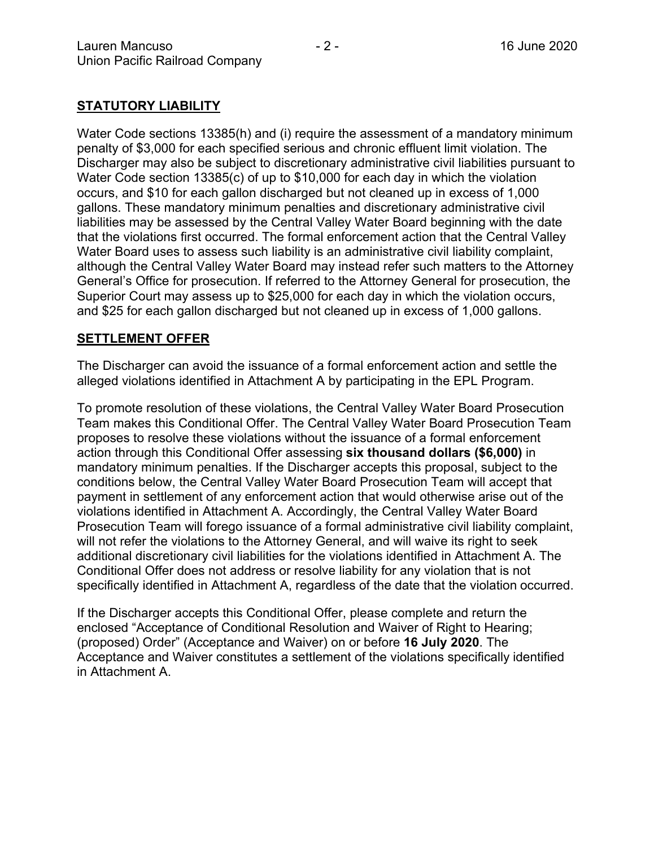# **STATUTORY LIABILITY**

Water Code sections 13385(h) and (i) require the assessment of a mandatory minimum penalty of \$3,000 for each specified serious and chronic effluent limit violation. The Discharger may also be subject to discretionary administrative civil liabilities pursuant to Water Code section 13385(c) of up to \$10,000 for each day in which the violation occurs, and \$10 for each gallon discharged but not cleaned up in excess of 1,000 gallons. These mandatory minimum penalties and discretionary administrative civil liabilities may be assessed by the Central Valley Water Board beginning with the date that the violations first occurred. The formal enforcement action that the Central Valley Water Board uses to assess such liability is an administrative civil liability complaint, although the Central Valley Water Board may instead refer such matters to the Attorney General's Office for prosecution. If referred to the Attorney General for prosecution, the Superior Court may assess up to \$25,000 for each day in which the violation occurs, and \$25 for each gallon discharged but not cleaned up in excess of 1,000 gallons.

## **SETTLEMENT OFFER**

The Discharger can avoid the issuance of a formal enforcement action and settle the alleged violations identified in Attachment A by participating in the EPL Program.

To promote resolution of these violations, the Central Valley Water Board Prosecution Team makes this Conditional Offer. The Central Valley Water Board Prosecution Team proposes to resolve these violations without the issuance of a formal enforcement action through this Conditional Offer assessing **six thousand dollars (\$6,000)** in mandatory minimum penalties. If the Discharger accepts this proposal, subject to the conditions below, the Central Valley Water Board Prosecution Team will accept that payment in settlement of any enforcement action that would otherwise arise out of the violations identified in Attachment A. Accordingly, the Central Valley Water Board Prosecution Team will forego issuance of a formal administrative civil liability complaint, will not refer the violations to the Attorney General, and will waive its right to seek additional discretionary civil liabilities for the violations identified in Attachment A. The Conditional Offer does not address or resolve liability for any violation that is not specifically identified in Attachment A, regardless of the date that the violation occurred.

If the Discharger accepts this Conditional Offer, please complete and return the enclosed "Acceptance of Conditional Resolution and Waiver of Right to Hearing; (proposed) Order" (Acceptance and Waiver) on or before **16 July 2020**. The Acceptance and Waiver constitutes a settlement of the violations specifically identified in Attachment A.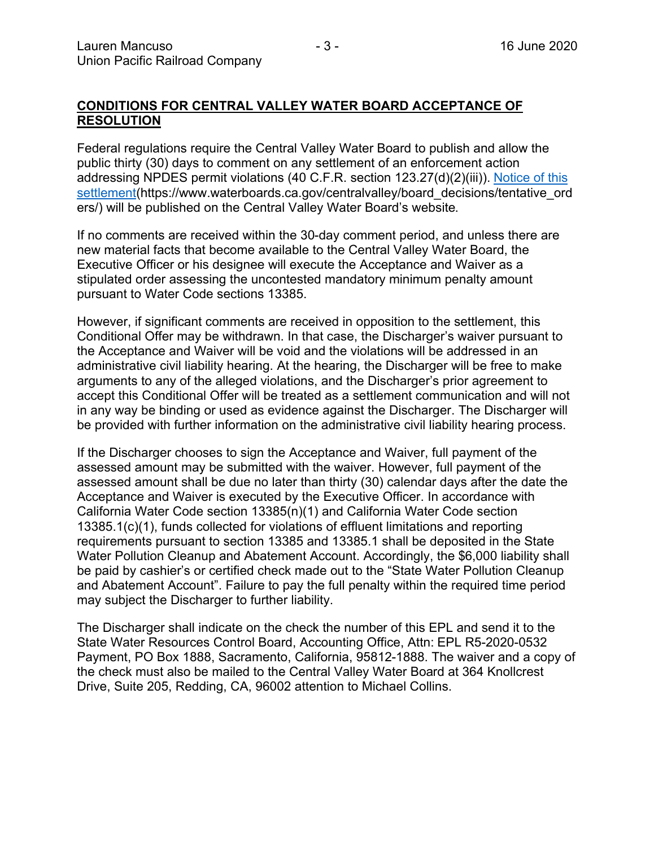#### **CONDITIONS FOR CENTRAL VALLEY WATER BOARD ACCEPTANCE OF RESOLUTION**

Federal regulations require the Central Valley Water Board to publish and allow the public thirty (30) days to comment on any settlement of an enforcement action addressing NPDES permit violations (40 C.F.R. section 123.27(d)(2)(iii)). [Notice of this](https://www.waterboards.ca.gov/centralvalley/board_decisions/tentative_orders/)  [settlement](https://www.waterboards.ca.gov/centralvalley/board_decisions/tentative_orders/)(https://www.waterboards.ca.gov/centralvalley/board\_decisions/tentative\_ord ers/) will be published on the Central Valley Water Board's website.

If no comments are received within the 30-day comment period, and unless there are new material facts that become available to the Central Valley Water Board, the Executive Officer or his designee will execute the Acceptance and Waiver as a stipulated order assessing the uncontested mandatory minimum penalty amount pursuant to Water Code sections 13385.

However, if significant comments are received in opposition to the settlement, this Conditional Offer may be withdrawn. In that case, the Discharger's waiver pursuant to the Acceptance and Waiver will be void and the violations will be addressed in an administrative civil liability hearing. At the hearing, the Discharger will be free to make arguments to any of the alleged violations, and the Discharger's prior agreement to accept this Conditional Offer will be treated as a settlement communication and will not in any way be binding or used as evidence against the Discharger. The Discharger will be provided with further information on the administrative civil liability hearing process.

If the Discharger chooses to sign the Acceptance and Waiver, full payment of the assessed amount may be submitted with the waiver. However, full payment of the assessed amount shall be due no later than thirty (30) calendar days after the date the Acceptance and Waiver is executed by the Executive Officer. In accordance with California Water Code section 13385(n)(1) and California Water Code section 13385.1(c)(1), funds collected for violations of effluent limitations and reporting requirements pursuant to section 13385 and 13385.1 shall be deposited in the State Water Pollution Cleanup and Abatement Account. Accordingly, the \$6,000 liability shall be paid by cashier's or certified check made out to the "State Water Pollution Cleanup and Abatement Account". Failure to pay the full penalty within the required time period may subject the Discharger to further liability.

The Discharger shall indicate on the check the number of this EPL and send it to the State Water Resources Control Board, Accounting Office, Attn: EPL R5-2020-0532 Payment, PO Box 1888, Sacramento, California, 95812-1888. The waiver and a copy of the check must also be mailed to the Central Valley Water Board at 364 Knollcrest Drive, Suite 205, Redding, CA, 96002 attention to Michael Collins.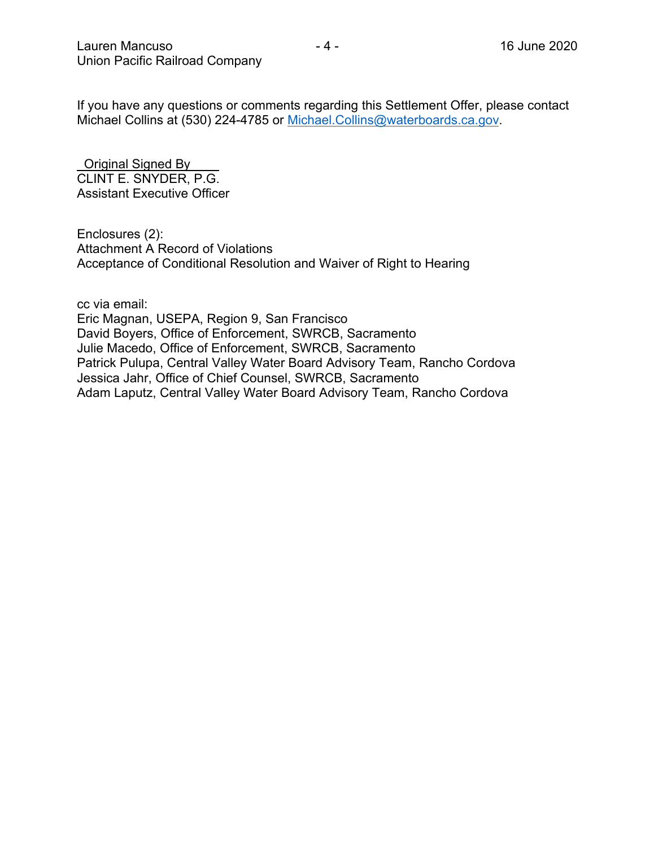If you have any questions or comments regarding this Settlement Offer, please contact Michael Collins at (530) 224-4785 or [Michael.Collins@waterboards.ca.gov](mailto:michael.collins@waterboards.ca.gov).

\_Original Signed By*\_\_\_\_* CLINT E. SNYDER, P.G. Assistant Executive Officer

Enclosures (2): Attachment A Record of Violations Acceptance of Conditional Resolution and Waiver of Right to Hearing

cc via email:

Eric Magnan, USEPA, Region 9, San Francisco David Boyers, Office of Enforcement, SWRCB, Sacramento Julie Macedo, Office of Enforcement, SWRCB, Sacramento Patrick Pulupa, Central Valley Water Board Advisory Team, Rancho Cordova Jessica Jahr, Office of Chief Counsel, SWRCB, Sacramento Adam Laputz, Central Valley Water Board Advisory Team, Rancho Cordova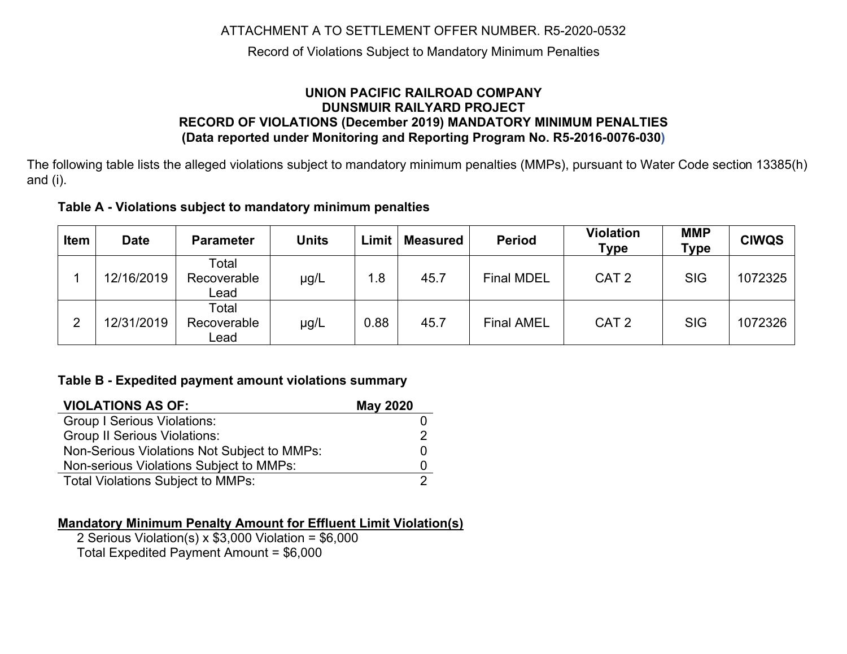# ATTACHMENT A TO SETTLEMENT OFFER NUMBER. R5-2020-0532

## Record of Violations Subject to Mandatory Minimum Penalties

#### **UNION PACIFIC RAILROAD COMPANY DUNSMUIR RAILYARD PROJECT RECORD OF VIOLATIONS (December 2019) MANDATORY MINIMUM PENALTIES (Data reported under Monitoring and Reporting Program No. R5-2016-0076-030)**

The following table lists the alleged violations subject to mandatory minimum penalties (MMPs), pursuant to Water Code section 13385(h) and (i).

## **Table A - Violations subject to mandatory minimum penalties**

| Item | Date       | <b>Parameter</b>             | Units     | Limit | <b>Measured</b> | <b>Period</b>     | <b>Violation</b><br><b>Type</b> | <b>MMP</b><br><b>Type</b> | <b>CIWQS</b> |
|------|------------|------------------------------|-----------|-------|-----------------|-------------------|---------------------------------|---------------------------|--------------|
|      | 12/16/2019 | Total<br>Recoverable<br>Lead | µg/L      | 1.8   | 45.7            | <b>Final MDEL</b> | CAT <sub>2</sub>                | <b>SIG</b>                | 1072325      |
| റ    | 12/31/2019 | Total<br>Recoverable<br>∟ead | $\mu$ g/L | 0.88  | 45.7            | <b>Final AMEL</b> | CAT <sub>2</sub>                | <b>SIG</b>                | 1072326      |

#### **Table B - Expedited payment amount violations summary**

| <b>VIOLATIONS AS OF:</b>                    | <b>May 2020</b> |
|---------------------------------------------|-----------------|
| <b>Group I Serious Violations:</b>          |                 |
| <b>Group II Serious Violations:</b>         |                 |
| Non-Serious Violations Not Subject to MMPs: |                 |
| Non-serious Violations Subject to MMPs:     |                 |
| <b>Total Violations Subject to MMPs:</b>    |                 |

# **Mandatory Minimum Penalty Amount for Effluent Limit Violation(s)**

2 Serious Violation(s) x \$3,000 Violation = \$6,000

Total Expedited Payment Amount = \$6,000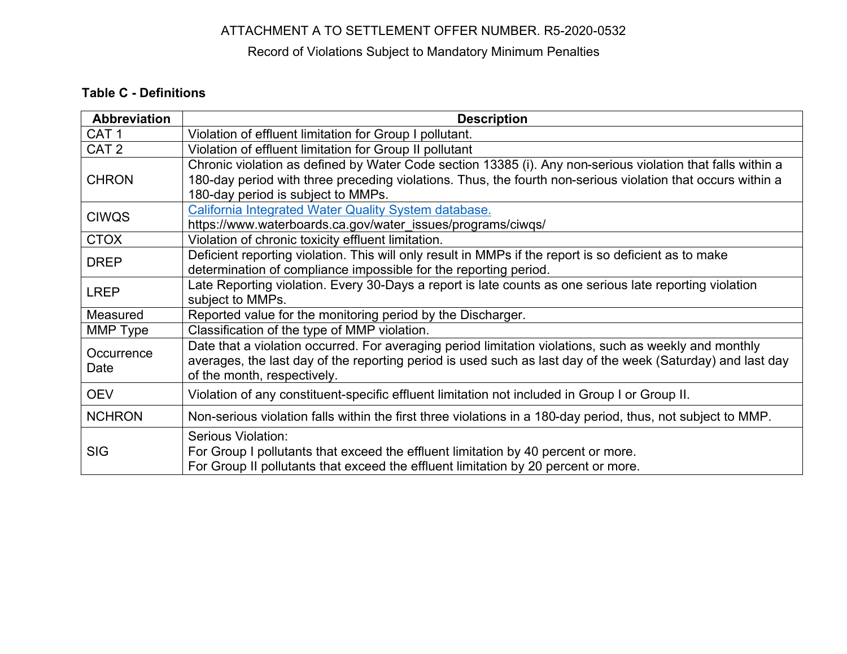# ATTACHMENT A TO SETTLEMENT OFFER NUMBER. R5-2020-0532

# Record of Violations Subject to Mandatory Minimum Penalties

# **Table C - Definitions**

| <b>Abbreviation</b> | <b>Description</b>                                                                                                                                                                                                                                               |
|---------------------|------------------------------------------------------------------------------------------------------------------------------------------------------------------------------------------------------------------------------------------------------------------|
| CAT <sub>1</sub>    | Violation of effluent limitation for Group I pollutant.                                                                                                                                                                                                          |
| CAT <sub>2</sub>    | Violation of effluent limitation for Group II pollutant                                                                                                                                                                                                          |
| <b>CHRON</b>        | Chronic violation as defined by Water Code section 13385 (i). Any non-serious violation that falls within a<br>180-day period with three preceding violations. Thus, the fourth non-serious violation that occurs within a<br>180-day period is subject to MMPs. |
| <b>CIWQS</b>        | California Integrated Water Quality System database.<br>https://www.waterboards.ca.gov/water issues/programs/ciwqs/                                                                                                                                              |
| <b>CTOX</b>         | Violation of chronic toxicity effluent limitation.                                                                                                                                                                                                               |
| <b>DREP</b>         | Deficient reporting violation. This will only result in MMPs if the report is so deficient as to make<br>determination of compliance impossible for the reporting period.                                                                                        |
| <b>LREP</b>         | Late Reporting violation. Every 30-Days a report is late counts as one serious late reporting violation<br>subject to MMPs.                                                                                                                                      |
| Measured            | Reported value for the monitoring period by the Discharger.                                                                                                                                                                                                      |
| MMP Type            | Classification of the type of MMP violation.                                                                                                                                                                                                                     |
| Occurrence<br>Date  | Date that a violation occurred. For averaging period limitation violations, such as weekly and monthly<br>averages, the last day of the reporting period is used such as last day of the week (Saturday) and last day<br>of the month, respectively.             |
| <b>OEV</b>          | Violation of any constituent-specific effluent limitation not included in Group I or Group II.                                                                                                                                                                   |
| <b>NCHRON</b>       | Non-serious violation falls within the first three violations in a 180-day period, thus, not subject to MMP.                                                                                                                                                     |
| <b>SIG</b>          | Serious Violation:<br>For Group I pollutants that exceed the effluent limitation by 40 percent or more.<br>For Group II pollutants that exceed the effluent limitation by 20 percent or more.                                                                    |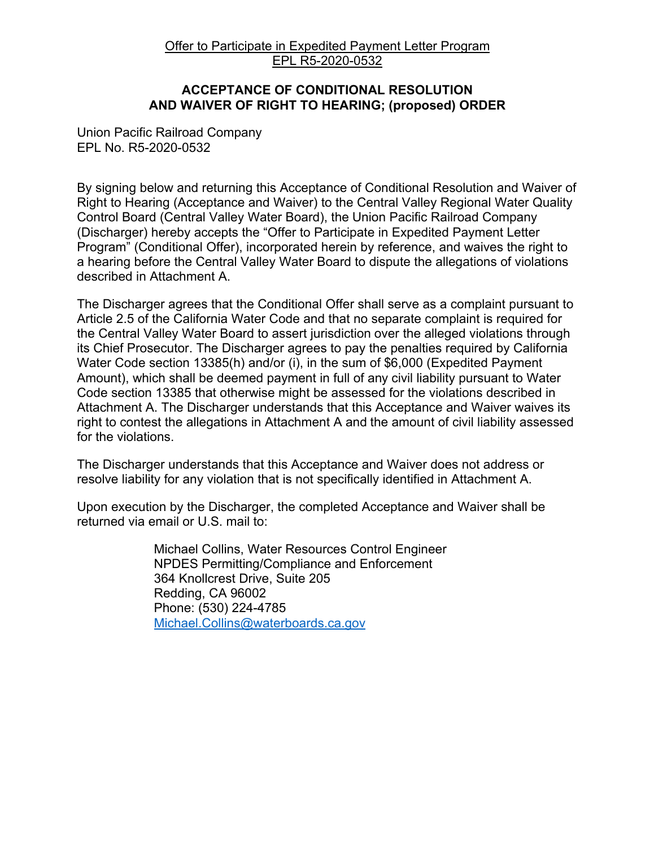# **ACCEPTANCE OF CONDITIONAL RESOLUTION AND WAIVER OF RIGHT TO HEARING; (proposed) ORDER**

Union Pacific Railroad Company EPL No. R5-2020-0532

By signing below and returning this Acceptance of Conditional Resolution and Waiver of Right to Hearing (Acceptance and Waiver) to the Central Valley Regional Water Quality Control Board (Central Valley Water Board), the Union Pacific Railroad Company (Discharger) hereby accepts the "Offer to Participate in Expedited Payment Letter Program" (Conditional Offer), incorporated herein by reference, and waives the right to a hearing before the Central Valley Water Board to dispute the allegations of violations described in Attachment A.

The Discharger agrees that the Conditional Offer shall serve as a complaint pursuant to Article 2.5 of the California Water Code and that no separate complaint is required for the Central Valley Water Board to assert jurisdiction over the alleged violations through its Chief Prosecutor. The Discharger agrees to pay the penalties required by California Water Code section 13385(h) and/or (i), in the sum of \$6,000 (Expedited Payment Amount), which shall be deemed payment in full of any civil liability pursuant to Water Code section 13385 that otherwise might be assessed for the violations described in Attachment A. The Discharger understands that this Acceptance and Waiver waives its right to contest the allegations in Attachment A and the amount of civil liability assessed for the violations.

The Discharger understands that this Acceptance and Waiver does not address or resolve liability for any violation that is not specifically identified in Attachment A.

Upon execution by the Discharger, the completed Acceptance and Waiver shall be returned via email or U.S. mail to:

> Michael Collins, Water Resources Control Engineer NPDES Permitting/Compliance and Enforcement 364 Knollcrest Drive, Suite 205 Redding, CA 96002 Phone: (530) 224-4785 [Michael.Collins@waterboards.ca.gov](mailto:michael.collins@waterboards.ca.gov)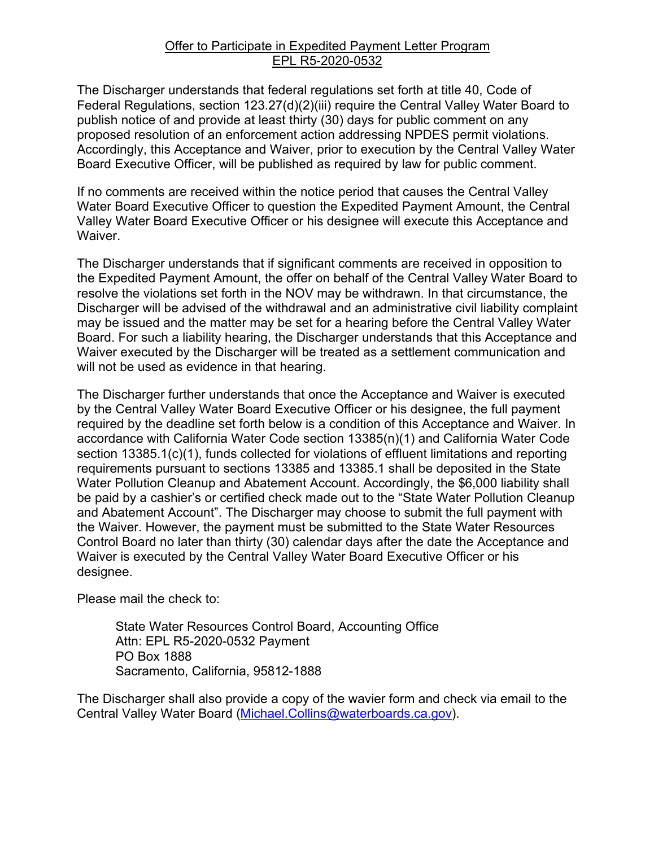#### Offer to Participate in Expedited Payment Letter Program EPL R5-2020-0532

The Discharger understands that federal regulations set forth at title 40, Code of Federal Regulations, section 123.27(d)(2)(iii) require the Central Valley Water Board to publish notice of and provide at least thirty (30) days for public comment on any proposed resolution of an enforcement action addressing NPDES permit violations. Accordingly, this Acceptance and Waiver, prior to execution by the Central Valley Water Board Executive Officer, will be published as required by law for public comment.

If no comments are received within the notice period that causes the Central Valley Water Board Executive Officer to question the Expedited Payment Amount, the Central Valley Water Board Executive Officer or his designee will execute this Acceptance and Waiver.

The Discharger understands that if significant comments are received in opposition to the Expedited Payment Amount, the offer on behalf of the Central Valley Water Board to resolve the violations set forth in the NOV may be withdrawn. In that circumstance, the Discharger will be advised of the withdrawal and an administrative civil liability complaint may be issued and the matter may be set for a hearing before the Central Valley Water Board. For such a liability hearing, the Discharger understands that this Acceptance and Waiver executed by the Discharger will be treated as a settlement communication and will not be used as evidence in that hearing.

The Discharger further understands that once the Acceptance and Waiver is executed by the Central Valley Water Board Executive Officer or his designee, the full payment required by the deadline set forth below is a condition of this Acceptance and Waiver. In accordance with California Water Code section 13385(n)(1) and California Water Code section 13385.1(c)(1), funds collected for violations of effluent limitations and reporting requirements pursuant to sections 13385 and 13385.1 shall be deposited in the State Water Pollution Cleanup and Abatement Account. Accordingly, the \$6,000 liability shall be paid by a cashier's or certified check made out to the "State Water Pollution Cleanup and Abatement Account". The Discharger may choose to submit the full payment with the Waiver. However, the payment must be submitted to the State Water Resources Control Board no later than thirty (30) calendar days after the date the Acceptance and Waiver is executed by the Central Valley Water Board Executive Officer or his designee.

Please mail the check to:

State Water Resources Control Board, Accounting Office Attn: EPL R5-2020-0532 Payment PO Box 1888 Sacramento, California, 95812-1888

The Discharger shall also provide a copy of the wavier form and check via email to the Central Valley Water Board ([Michael.Collins@waterboards.ca.gov](mailto:michael.collins@waterboards.ca.gov)).